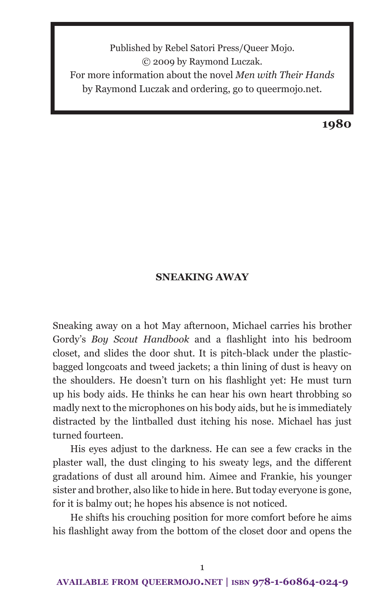Published by Rebel Satori Press/Queer Mojo. © 2009 by Raymond Luczak. For more information about the novel *Men with Their Hands* by Raymond Luczak and ordering, go to queermojo.net.

**1980**

#### **SNEAKING AWAY**

Sneaking away on a hot May afternoon, Michael carries his brother Gordy's *Boy Scout Handbook* and a flashlight into his bedroom closet, and slides the door shut. It is pitch-black under the plasticbagged longcoats and tweed jackets; a thin lining of dust is heavy on the shoulders. He doesn't turn on his flashlight yet: He must turn up his body aids. He thinks he can hear his own heart throbbing so madly next to the microphones on his body aids, but he is immediately distracted by the lintballed dust itching his nose. Michael has just turned fourteen.

His eyes adjust to the darkness. He can see a few cracks in the plaster wall, the dust clinging to his sweaty legs, and the different gradations of dust all around him. Aimee and Frankie, his younger sister and brother, also like to hide in here. But today everyone is gone, for it is balmy out; he hopes his absence is not noticed.

He shifts his crouching position for more comfort before he aims his flashlight away from the bottom of the closet door and opens the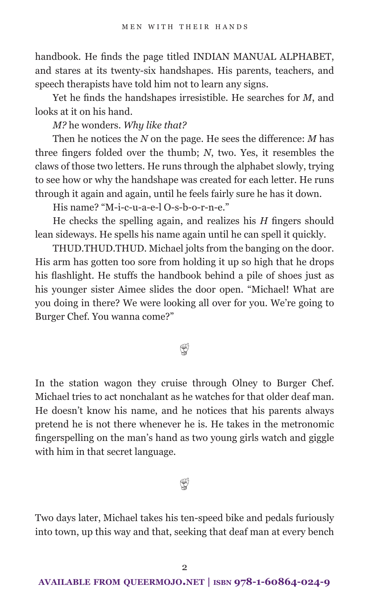handbook. He finds the page titled INDIAN MANUAL ALPHABET, and stares at its twenty-six handshapes. His parents, teachers, and speech therapists have told him not to learn any signs.

Yet he finds the handshapes irresistible. He searches for *M*, and looks at it on his hand.

*M?* he wonders. *Why like that?*

Then he notices the *N* on the page. He sees the difference: *M* has three fingers folded over the thumb; *N*, two. Yes, it resembles the claws of those two letters. He runs through the alphabet slowly, trying to see how or why the handshape was created for each letter. He runs through it again and again, until he feels fairly sure he has it down.

His name? "M-i-c-u-a-e-l O-s-b-o-r-n-e."

He checks the spelling again, and realizes his *H* fingers should lean sideways. He spells his name again until he can spell it quickly.

THUD.THUD.THUD. Michael jolts from the banging on the door. His arm has gotten too sore from holding it up so high that he drops his flashlight. He stuffs the handbook behind a pile of shoes just as his younger sister Aimee slides the door open. "Michael! What are you doing in there? We were looking all over for you. We're going to Burger Chef. You wanna come?"

# $\mathbb{Q}$

In the station wagon they cruise through Olney to Burger Chef. Michael tries to act nonchalant as he watches for that older deaf man. He doesn't know his name, and he notices that his parents always pretend he is not there whenever he is. He takes in the metronomic fingerspelling on the man's hand as two young girls watch and giggle with him in that secret language.

### W

Two days later, Michael takes his ten-speed bike and pedals furiously into town, up this way and that, seeking that deaf man at every bench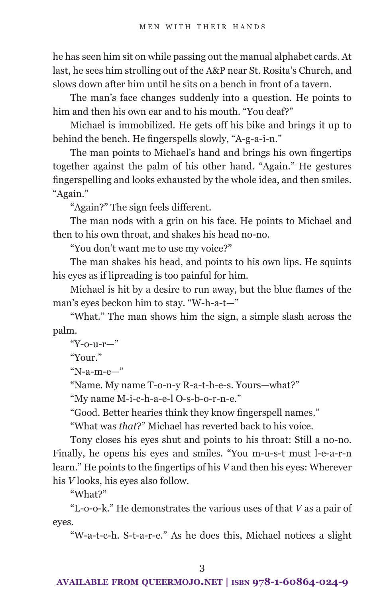he has seen him sit on while passing out the manual alphabet cards. At last, he sees him strolling out of the A&P near St. Rosita's Church, and slows down after him until he sits on a bench in front of a tavern.

The man's face changes suddenly into a question. He points to him and then his own ear and to his mouth. "You deaf?"

Michael is immobilized. He gets off his bike and brings it up to behind the bench. He fingerspells slowly, "A-g-a-i-n."

The man points to Michael's hand and brings his own fingertips together against the palm of his other hand. "Again." He gestures fingerspelling and looks exhausted by the whole idea, and then smiles. "Again."

"Again?" The sign feels different.

The man nods with a grin on his face. He points to Michael and then to his own throat, and shakes his head no-no.

"You don't want me to use my voice?"

The man shakes his head, and points to his own lips. He squints his eyes as if lipreading is too painful for him.

Michael is hit by a desire to run away, but the blue flames of the man's eyes beckon him to stay. "W-h-a-t—"

"What." The man shows him the sign, a simple slash across the palm.

"Y-o-u-r—"

"Your."

"N-a-m-e—"

"Name. My name T-o-n-y R-a-t-h-e-s. Yours—what?"

"My name M-i-c-h-a-e-l O-s-b-o-r-n-e."

"Good. Better hearies think they know fingerspell names."

"What was *that*?" Michael has reverted back to his voice.

Tony closes his eyes shut and points to his throat: Still a no-no. Finally, he opens his eyes and smiles. "You m-u-s-t must l-e-a-r-n learn." He points to the fingertips of his *V* and then his eyes: Wherever his *V* looks, his eyes also follow.

"What?"

"L-o-o-k." He demonstrates the various uses of that *V* as a pair of eyes.

"W-a-t-c-h. S-t-a-r-e." As he does this, Michael notices a slight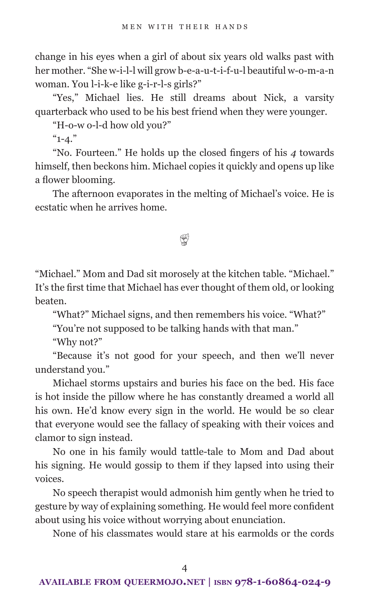change in his eyes when a girl of about six years old walks past with her mother. "She w-i-l-l will grow b-e-a-u-t-i-f-u-l beautiful w-o-m-a-n woman. You l-i-k-e like g-i-r-l-s girls?"

"Yes," Michael lies. He still dreams about Nick, a varsity quarterback who used to be his best friend when they were younger.

"H-o-w o-l-d how old you?"

 $"1 - 4."$ 

"No. Fourteen." He holds up the closed fingers of his *4* towards himself, then beckons him. Michael copies it quickly and opens up like a flower blooming.

The afternoon evaporates in the melting of Michael's voice. He is ecstatic when he arrives home.

# $\mathbb{Q}$

"Michael." Mom and Dad sit morosely at the kitchen table. "Michael." It's the first time that Michael has ever thought of them old, or looking beaten.

"What?" Michael signs, and then remembers his voice. "What?"

"You're not supposed to be talking hands with that man."

"Why not?"

"Because it's not good for your speech, and then we'll never understand you."

Michael storms upstairs and buries his face on the bed. His face is hot inside the pillow where he has constantly dreamed a world all his own. He'd know every sign in the world. He would be so clear that everyone would see the fallacy of speaking with their voices and clamor to sign instead.

No one in his family would tattle-tale to Mom and Dad about his signing. He would gossip to them if they lapsed into using their voices.

No speech therapist would admonish him gently when he tried to gesture by way of explaining something. He would feel more confident about using his voice without worrying about enunciation.

None of his classmates would stare at his earmolds or the cords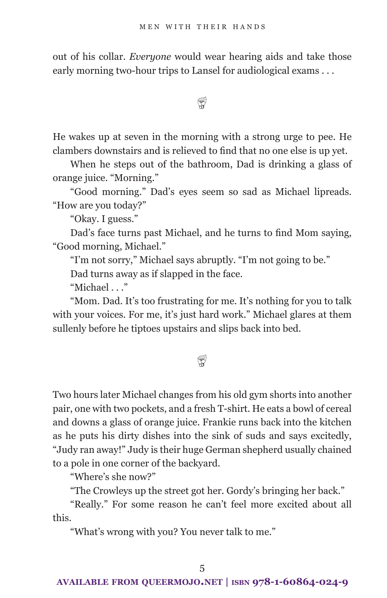out of his collar. *Everyone* would wear hearing aids and take those early morning two-hour trips to Lansel for audiological exams . . .

 $\mathbb{Q}$ 

He wakes up at seven in the morning with a strong urge to pee. He clambers downstairs and is relieved to find that no one else is up yet.

When he steps out of the bathroom, Dad is drinking a glass of orange juice. "Morning."

"Good morning." Dad's eyes seem so sad as Michael lipreads. "How are you today?"

"Okay. I guess."

Dad's face turns past Michael, and he turns to find Mom saying, "Good morning, Michael."

"I'm not sorry," Michael says abruptly. "I'm not going to be."

Dad turns away as if slapped in the face.

"Michael . . ."

"Mom. Dad. It's too frustrating for me. It's nothing for you to talk with your voices. For me, it's just hard work." Michael glares at them sullenly before he tiptoes upstairs and slips back into bed.

# $\mathbb{Q}$

Two hours later Michael changes from his old gym shorts into another pair, one with two pockets, and a fresh T-shirt. He eats a bowl of cereal and downs a glass of orange juice. Frankie runs back into the kitchen as he puts his dirty dishes into the sink of suds and says excitedly, "Judy ran away!" Judy is their huge German shepherd usually chained to a pole in one corner of the backyard.

"Where's she now?"

"The Crowleys up the street got her. Gordy's bringing her back."

"Really." For some reason he can't feel more excited about all this.

"What's wrong with you? You never talk to me."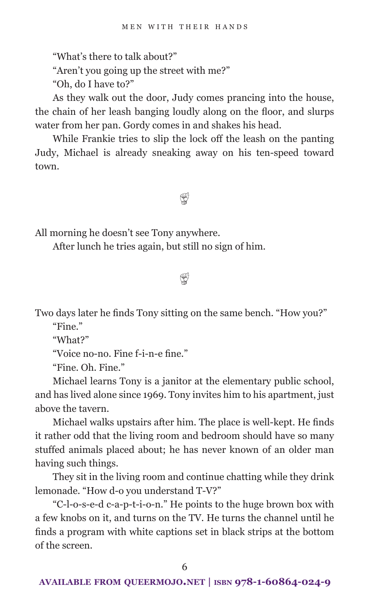"What's there to talk about?"

"Aren't you going up the street with me?"

"Oh, do I have to?"

As they walk out the door, Judy comes prancing into the house, the chain of her leash banging loudly along on the floor, and slurps water from her pan. Gordy comes in and shakes his head.

While Frankie tries to slip the lock off the leash on the panting Judy, Michael is already sneaking away on his ten-speed toward town.

 $\mathfrak{P}$ 

All morning he doesn't see Tony anywhere.

After lunch he tries again, but still no sign of him.

 $^\circledR$ 

Two days later he finds Tony sitting on the same bench. "How you?"

"Fine."

"What?"

"Voice no-no. Fine f-i-n-e fine."

"Fine. Oh. Fine."

Michael learns Tony is a janitor at the elementary public school, and has lived alone since 1969. Tony invites him to his apartment, just above the tavern.

Michael walks upstairs after him. The place is well-kept. He finds it rather odd that the living room and bedroom should have so many stuffed animals placed about; he has never known of an older man having such things.

They sit in the living room and continue chatting while they drink lemonade. "How d-o you understand T-V?"

"C-l-o-s-e-d c-a-p-t-i-o-n." He points to the huge brown box with a few knobs on it, and turns on the TV. He turns the channel until he finds a program with white captions set in black strips at the bottom of the screen.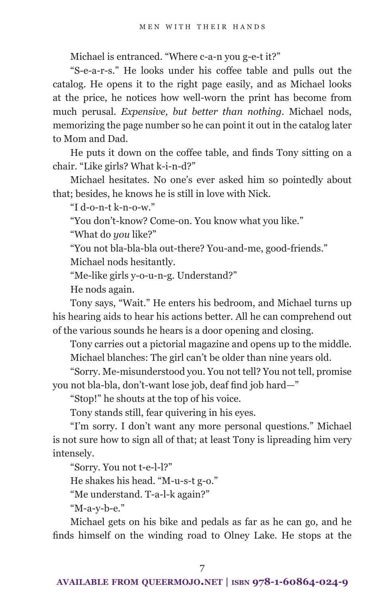Michael is entranced. "Where c-a-n you g-e-t it?"

"S-e-a-r-s." He looks under his coffee table and pulls out the catalog. He opens it to the right page easily, and as Michael looks at the price, he notices how well-worn the print has become from much perusal. *Expensive, but better than nothing.* Michael nods, memorizing the page number so he can point it out in the catalog later to Mom and Dad.

He puts it down on the coffee table, and finds Tony sitting on a chair. "Like girls? What k-i-n-d?"

Michael hesitates. No one's ever asked him so pointedly about that; besides, he knows he is still in love with Nick.

"I d-o-n-t k-n-o-w."

"You don't-know? Come-on. You know what you like."

"What do *you* like?"

"You not bla-bla-bla out-there? You-and-me, good-friends."

Michael nods hesitantly.

"Me-like girls y-o-u-n-g. Understand?"

He nods again.

Tony says, "Wait." He enters his bedroom, and Michael turns up his hearing aids to hear his actions better. All he can comprehend out of the various sounds he hears is a door opening and closing.

Tony carries out a pictorial magazine and opens up to the middle. Michael blanches: The girl can't be older than nine years old.

"Sorry. Me-misunderstood you. You not tell? You not tell, promise you not bla-bla, don't-want lose job, deaf find job hard—"

"Stop!" he shouts at the top of his voice.

Tony stands still, fear quivering in his eyes.

"I'm sorry. I don't want any more personal questions." Michael is not sure how to sign all of that; at least Tony is lipreading him very intensely.

"Sorry. You not t-e-l-l?"

He shakes his head. "M-u-s-t g-o."

"Me understand. T-a-l-k again?"

"M-a-y-b-e."

Michael gets on his bike and pedals as far as he can go, and he finds himself on the winding road to Olney Lake. He stops at the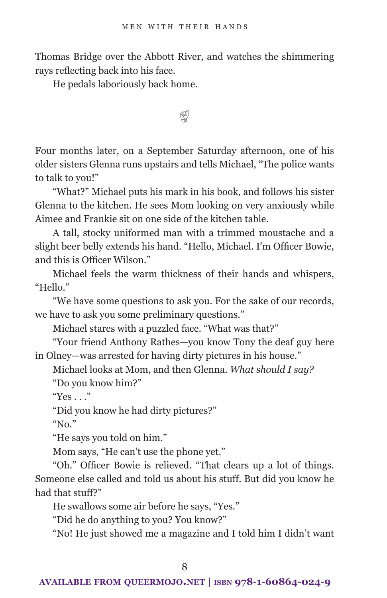Thomas Bridge over the Abbott River, and watches the shimmering rays reflecting back into his face.

He pedals laboriously back home.

 $\mathbb{Q}$ 

Four months later, on a September Saturday afternoon, one of his older sisters Glenna runs upstairs and tells Michael, "The police wants to talk to you!"

"What?" Michael puts his mark in his book, and follows his sister Glenna to the kitchen. He sees Mom looking on very anxiously while Aimee and Frankie sit on one side of the kitchen table.

A tall, stocky uniformed man with a trimmed moustache and a slight beer belly extends his hand. "Hello, Michael. I'm Officer Bowie, and this is Officer Wilson."

Michael feels the warm thickness of their hands and whispers, "Hello."

"We have some questions to ask you. For the sake of our records, we have to ask you some preliminary questions."

Michael stares with a puzzled face. "What was that?"

"Your friend Anthony Rathes—you know Tony the deaf guy here in Olney—was arrested for having dirty pictures in his house."

Michael looks at Mom, and then Glenna. *What should I say?*

"Do you know him?"

" $Yes \n$ ..."

"Did you know he had dirty pictures?"

" $No.$ "

"He says you told on him."

Mom says, "He can't use the phone yet."

"Oh." Officer Bowie is relieved. "That clears up a lot of things. Someone else called and told us about his stuff. But did you know he had that stuff?"

He swallows some air before he says, "Yes."

"Did he do anything to you? You know?"

"No! He just showed me a magazine and I told him I didn't want